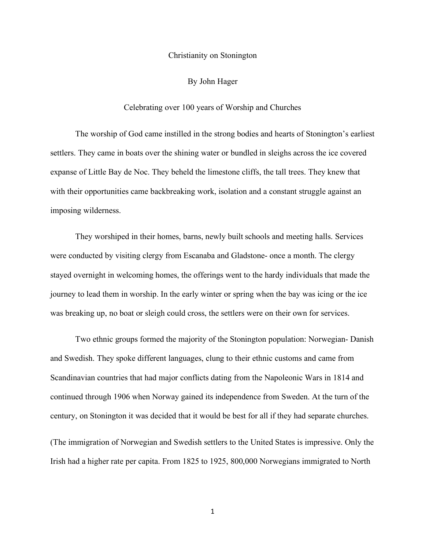## Christianity on Stonington

## By John Hager

## Celebrating over 100 years of Worship and Churches

The worship of God came instilled in the strong bodies and hearts of Stonington's earliest settlers. They came in boats over the shining water or bundled in sleighs across the ice covered expanse of Little Bay de Noc. They beheld the limestone cliffs, the tall trees. They knew that with their opportunities came backbreaking work, isolation and a constant struggle against an imposing wilderness.

They worshiped in their homes, barns, newly built schools and meeting halls. Services were conducted by visiting clergy from Escanaba and Gladstone- once a month. The clergy stayed overnight in welcoming homes, the offerings went to the hardy individuals that made the journey to lead them in worship. In the early winter or spring when the bay was icing or the ice was breaking up, no boat or sleigh could cross, the settlers were on their own for services.

Two ethnic groups formed the majority of the Stonington population: Norwegian- Danish and Swedish. They spoke different languages, clung to their ethnic customs and came from Scandinavian countries that had major conflicts dating from the Napoleonic Wars in 1814 and continued through 1906 when Norway gained its independence from Sweden. At the turn of the century, on Stonington it was decided that it would be best for all if they had separate churches. (The immigration of Norwegian and Swedish settlers to the United States is impressive. Only the

Irish had a higher rate per capita. From 1825 to 1925, 800,000 Norwegians immigrated to North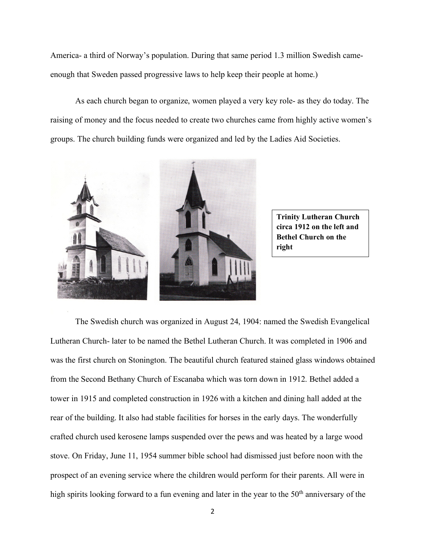America- a third of Norway's population. During that same period 1.3 million Swedish cameenough that Sweden passed progressive laws to help keep their people at home.)

As each church began to organize, women played a very key role- as they do today. The raising of money and the focus needed to create two churches came from highly active women's groups. The church building funds were organized and led by the Ladies Aid Societies.



**Trinity Lutheran Church circa 1912 on the left and Bethel Church on the right**

The Swedish church was organized in August 24, 1904: named the Swedish Evangelical Lutheran Church- later to be named the Bethel Lutheran Church. It was completed in 1906 and was the first church on Stonington. The beautiful church featured stained glass windows obtained from the Second Bethany Church of Escanaba which was torn down in 1912. Bethel added a tower in 1915 and completed construction in 1926 with a kitchen and dining hall added at the rear of the building. It also had stable facilities for horses in the early days. The wonderfully crafted church used kerosene lamps suspended over the pews and was heated by a large wood stove. On Friday, June 11, 1954 summer bible school had dismissed just before noon with the prospect of an evening service where the children would perform for their parents. All were in high spirits looking forward to a fun evening and later in the year to the 50<sup>th</sup> anniversary of the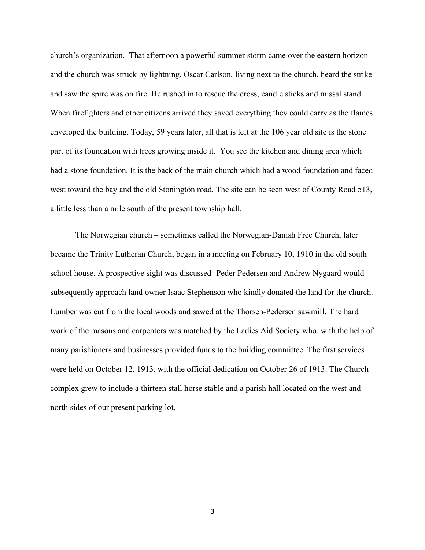church's organization. That afternoon a powerful summer storm came over the eastern horizon and the church was struck by lightning. Oscar Carlson, living next to the church, heard the strike and saw the spire was on fire. He rushed in to rescue the cross, candle sticks and missal stand. When firefighters and other citizens arrived they saved everything they could carry as the flames enveloped the building. Today, 59 years later, all that is left at the 106 year old site is the stone part of its foundation with trees growing inside it. You see the kitchen and dining area which had a stone foundation. It is the back of the main church which had a wood foundation and faced west toward the bay and the old Stonington road. The site can be seen west of County Road 513, a little less than a mile south of the present township hall.

The Norwegian church – sometimes called the Norwegian-Danish Free Church, later became the Trinity Lutheran Church, began in a meeting on February 10, 1910 in the old south school house. A prospective sight was discussed- Peder Pedersen and Andrew Nygaard would subsequently approach land owner Isaac Stephenson who kindly donated the land for the church. Lumber was cut from the local woods and sawed at the Thorsen-Pedersen sawmill. The hard work of the masons and carpenters was matched by the Ladies Aid Society who, with the help of many parishioners and businesses provided funds to the building committee. The first services were held on October 12, 1913, with the official dedication on October 26 of 1913. The Church complex grew to include a thirteen stall horse stable and a parish hall located on the west and north sides of our present parking lot.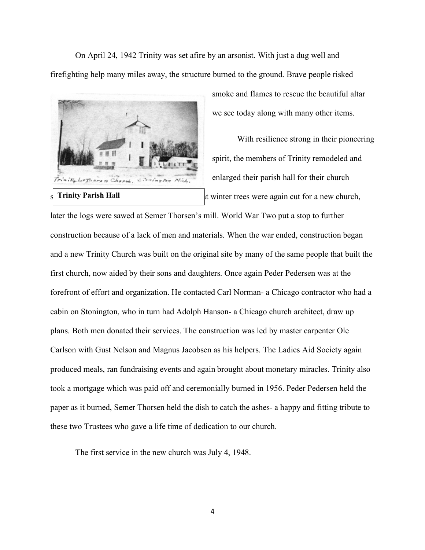On April 24, 1942 Trinity was set afire by an arsonist. With just a dug well and firefighting help many miles away, the structure burned to the ground. Brave people risked



smoke and flames to rescue the beautiful altar we see today along with many other items.

With resilience strong in their pioneering spirit, the members of Trinity remodeled and enlarged their parish hall for their church It winter trees were again cut for a new church,

later the logs were sawed at Semer Thorsen's mill. World War Two put a stop to further construction because of a lack of men and materials. When the war ended, construction began and a new Trinity Church was built on the original site by many of the same people that built the first church, now aided by their sons and daughters. Once again Peder Pedersen was at the forefront of effort and organization. He contacted Carl Norman- a Chicago contractor who had a cabin on Stonington, who in turn had Adolph Hanson- a Chicago church architect, draw up plans. Both men donated their services. The construction was led by master carpenter Ole Carlson with Gust Nelson and Magnus Jacobsen as his helpers. The Ladies Aid Society again produced meals, ran fundraising events and again brought about monetary miracles. Trinity also took a mortgage which was paid off and ceremonially burned in 1956. Peder Pedersen held the paper as it burned, Semer Thorsen held the dish to catch the ashes- a happy and fitting tribute to these two Trustees who gave a life time of dedication to our church.

The first service in the new church was July 4, 1948.

4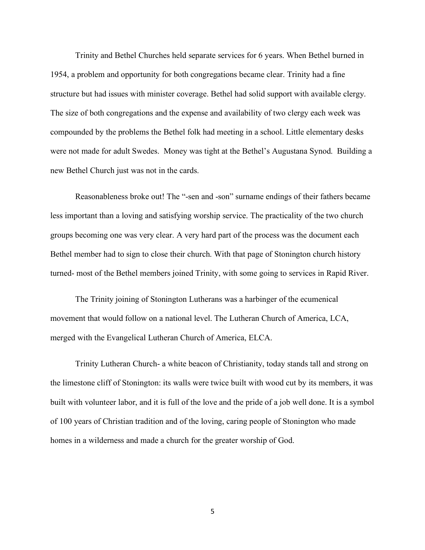Trinity and Bethel Churches held separate services for 6 years. When Bethel burned in 1954, a problem and opportunity for both congregations became clear. Trinity had a fine structure but had issues with minister coverage. Bethel had solid support with available clergy. The size of both congregations and the expense and availability of two clergy each week was compounded by the problems the Bethel folk had meeting in a school. Little elementary desks were not made for adult Swedes. Money was tight at the Bethel's Augustana Synod. Building a new Bethel Church just was not in the cards.

Reasonableness broke out! The "-sen and -son" surname endings of their fathers became less important than a loving and satisfying worship service. The practicality of the two church groups becoming one was very clear. A very hard part of the process was the document each Bethel member had to sign to close their church. With that page of Stonington church history turned- most of the Bethel members joined Trinity, with some going to services in Rapid River.

The Trinity joining of Stonington Lutherans was a harbinger of the ecumenical movement that would follow on a national level. The Lutheran Church of America, LCA, merged with the Evangelical Lutheran Church of America, ELCA.

Trinity Lutheran Church- a white beacon of Christianity, today stands tall and strong on the limestone cliff of Stonington: its walls were twice built with wood cut by its members, it was built with volunteer labor, and it is full of the love and the pride of a job well done. It is a symbol of 100 years of Christian tradition and of the loving, caring people of Stonington who made homes in a wilderness and made a church for the greater worship of God.

5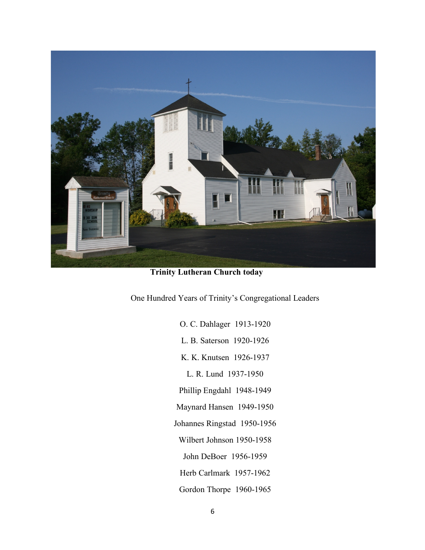

**Trinity Lutheran Church today**

One Hundred Years of Trinity's Congregational Leaders

- O. C. Dahlager 1913-1920
- L. B. Saterson 1920-1926
- K. K. Knutsen 1926-1937
	- L. R. Lund 1937-1950
- Phillip Engdahl 1948-1949
- Maynard Hansen 1949-1950
- Johannes Ringstad 1950-1956
	- Wilbert Johnson 1950-1958
	- John DeBoer 1956-1959
	- Herb Carlmark 1957-1962
	- Gordon Thorpe 1960-1965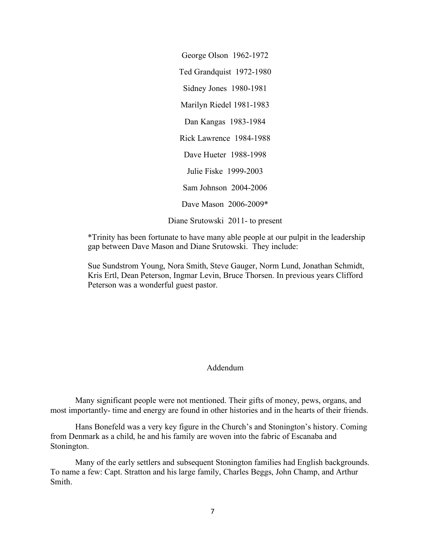George Olson 1962-1972 Ted Grandquist 1972-1980 Sidney Jones 1980-1981 Marilyn Riedel 1981-1983 Dan Kangas 1983-1984 Rick Lawrence 1984-1988 Dave Hueter 1988-1998 Julie Fiske 1999-2003 Sam Johnson 2004-2006 Dave Mason 2006-2009\* Diane Srutowski 2011- to present

\*Trinity has been fortunate to have many able people at our pulpit in the leadership gap between Dave Mason and Diane Srutowski. They include:

Sue Sundstrom Young, Nora Smith, Steve Gauger, Norm Lund, Jonathan Schmidt, Kris Ertl, Dean Peterson, Ingmar Levin, Bruce Thorsen. In previous years Clifford Peterson was a wonderful guest pastor.

## Addendum

Many significant people were not mentioned. Their gifts of money, pews, organs, and most importantly- time and energy are found in other histories and in the hearts of their friends.

Hans Bonefeld was a very key figure in the Church's and Stonington's history. Coming from Denmark as a child, he and his family are woven into the fabric of Escanaba and Stonington.

Many of the early settlers and subsequent Stonington families had English backgrounds. To name a few: Capt. Stratton and his large family, Charles Beggs, John Champ, and Arthur Smith.